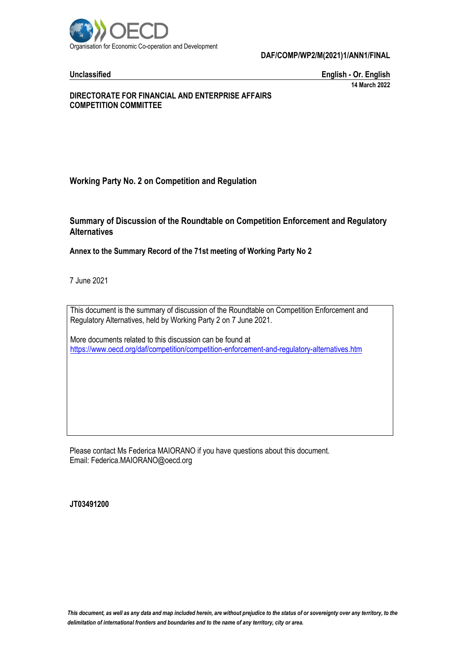

**Unclassified English - Or. English 14 March 2022**

# **DIRECTORATE FOR FINANCIAL AND ENTERPRISE AFFAIRS COMPETITION COMMITTEE**

# **Working Party No. 2 on Competition and Regulation**

# **Summary of Discussion of the Roundtable on Competition Enforcement and Regulatory Alternatives**

# **Annex to the Summary Record of the 71st meeting of Working Party No 2**

7 June 2021

This document is the summary of discussion of the Roundtable on Competition Enforcement and Regulatory Alternatives, held by Working Party 2 on 7 June 2021.

More documents related to this discussion can be found at <https://www.oecd.org/daf/competition/competition-enforcement-and-regulatory-alternatives.htm>

Please contact Ms Federica MAIORANO if you have questions about this document. Email: Federica.MAIORANO@oecd.org

**JT03491200**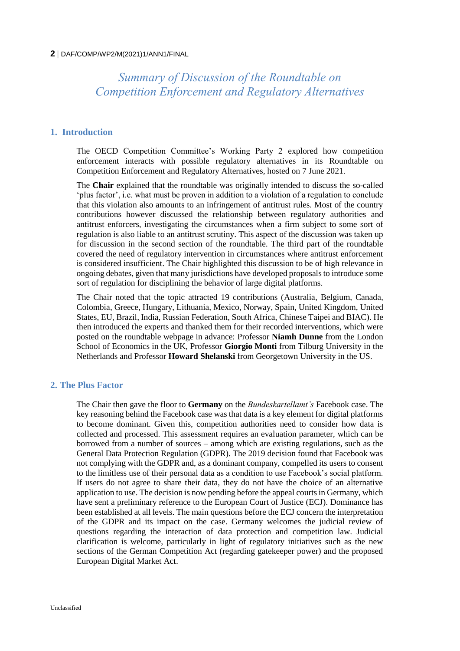*Summary of Discussion of the Roundtable on Competition Enforcement and Regulatory Alternatives* 

### **1. Introduction**

The OECD Competition Committee's Working Party 2 explored how competition enforcement interacts with possible regulatory alternatives in its Roundtable on Competition Enforcement and Regulatory Alternatives, hosted on 7 June 2021.

The **Chair** explained that the roundtable was originally intended to discuss the so-called 'plus factor', i.e. what must be proven in addition to a violation of a regulation to conclude that this violation also amounts to an infringement of antitrust rules. Most of the country contributions however discussed the relationship between regulatory authorities and antitrust enforcers, investigating the circumstances when a firm subject to some sort of regulation is also liable to an antitrust scrutiny. This aspect of the discussion was taken up for discussion in the second section of the roundtable. The third part of the roundtable covered the need of regulatory intervention in circumstances where antitrust enforcement is considered insufficient. The Chair highlighted this discussion to be of high relevance in ongoing debates, given that many jurisdictions have developed proposals to introduce some sort of regulation for disciplining the behavior of large digital platforms.

The Chair noted that the topic attracted 19 contributions (Australia, Belgium, Canada, Colombia, Greece, Hungary, Lithuania, Mexico, Norway, Spain, United Kingdom, United States, EU, Brazil, India, Russian Federation, South Africa, Chinese Taipei and BIAC). He then introduced the experts and thanked them for their recorded interventions, which were posted on the roundtable webpage in advance: Professor **Niamh Dunne** from the London School of Economics in the UK, Professor **Giorgio Monti** from Tilburg University in the Netherlands and Professor **Howard Shelanski** from Georgetown University in the US.

### **2. The Plus Factor**

The Chair then gave the floor to **Germany** on the *Bundeskartellamt's* Facebook case. The key reasoning behind the Facebook case was that data is a key element for digital platforms to become dominant. Given this, competition authorities need to consider how data is collected and processed. This assessment requires an evaluation parameter, which can be borrowed from a number of sources – among which are existing regulations, such as the General Data Protection Regulation (GDPR). The 2019 decision found that Facebook was not complying with the GDPR and, as a dominant company, compelled its users to consent to the limitless use of their personal data as a condition to use Facebook's social platform. If users do not agree to share their data, they do not have the choice of an alternative application to use. The decision is now pending before the appeal courts in Germany, which have sent a preliminary reference to the European Court of Justice (ECJ). Dominance has been established at all levels. The main questions before the ECJ concern the interpretation of the GDPR and its impact on the case. Germany welcomes the judicial review of questions regarding the interaction of data protection and competition law. Judicial clarification is welcome, particularly in light of regulatory initiatives such as the new sections of the German Competition Act (regarding gatekeeper power) and the proposed European Digital Market Act.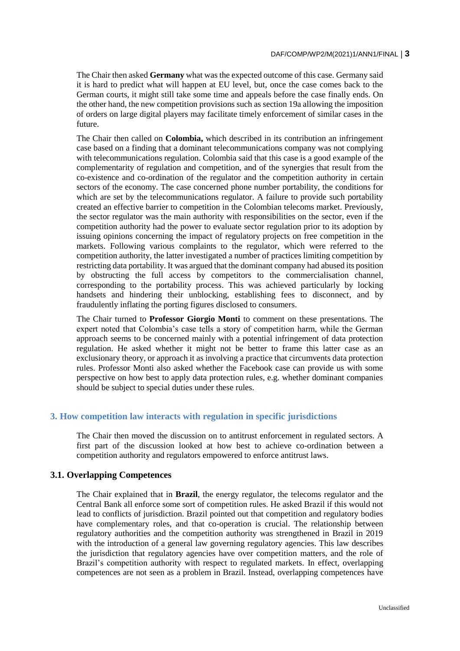The Chair then asked **Germany** what was the expected outcome of this case. Germany said it is hard to predict what will happen at EU level, but, once the case comes back to the German courts, it might still take some time and appeals before the case finally ends. On the other hand, the new competition provisions such as section 19a allowing the imposition of orders on large digital players may facilitate timely enforcement of similar cases in the future.

The Chair then called on **Colombia,** which described in its contribution an infringement case based on a finding that a dominant telecommunications company was not complying with telecommunications regulation. Colombia said that this case is a good example of the complementarity of regulation and competition, and of the synergies that result from the co-existence and co-ordination of the regulator and the competition authority in certain sectors of the economy. The case concerned phone number portability, the conditions for which are set by the telecommunications regulator. A failure to provide such portability created an effective barrier to competition in the Colombian telecoms market. Previously, the sector regulator was the main authority with responsibilities on the sector, even if the competition authority had the power to evaluate sector regulation prior to its adoption by issuing opinions concerning the impact of regulatory projects on free competition in the markets. Following various complaints to the regulator, which were referred to the competition authority, the latter investigated a number of practices limiting competition by restricting data portability. It was argued that the dominant company had abused its position by obstructing the full access by competitors to the commercialisation channel, corresponding to the portability process. This was achieved particularly by locking handsets and hindering their unblocking, establishing fees to disconnect, and by fraudulently inflating the porting figures disclosed to consumers.

The Chair turned to **Professor Giorgio Monti** to comment on these presentations. The expert noted that Colombia's case tells a story of competition harm, while the German approach seems to be concerned mainly with a potential infringement of data protection regulation. He asked whether it might not be better to frame this latter case as an exclusionary theory, or approach it as involving a practice that circumvents data protection rules. Professor Monti also asked whether the Facebook case can provide us with some perspective on how best to apply data protection rules, e.g. whether dominant companies should be subject to special duties under these rules.

## **3. How competition law interacts with regulation in specific jurisdictions**

The Chair then moved the discussion on to antitrust enforcement in regulated sectors. A first part of the discussion looked at how best to achieve co-ordination between a competition authority and regulators empowered to enforce antitrust laws.

## **3.1. Overlapping Competences**

The Chair explained that in **Brazil**, the energy regulator, the telecoms regulator and the Central Bank all enforce some sort of competition rules. He asked Brazil if this would not lead to conflicts of jurisdiction. Brazil pointed out that competition and regulatory bodies have complementary roles, and that co-operation is crucial. The relationship between regulatory authorities and the competition authority was strengthened in Brazil in 2019 with the introduction of a general law governing regulatory agencies. This law describes the jurisdiction that regulatory agencies have over competition matters, and the role of Brazil's competition authority with respect to regulated markets. In effect, overlapping competences are not seen as a problem in Brazil. Instead, overlapping competences have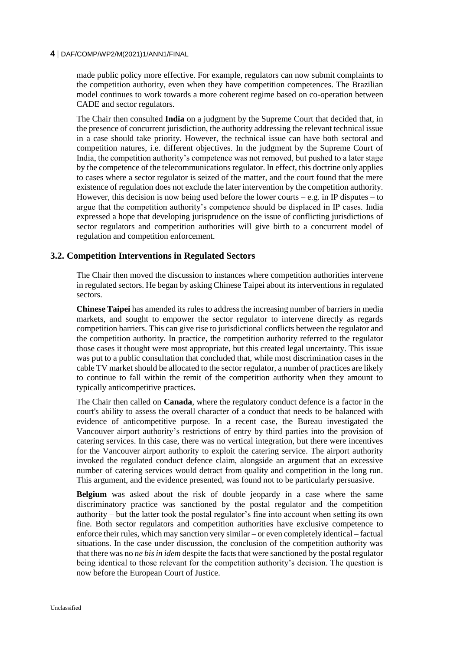made public policy more effective. For example, regulators can now submit complaints to the competition authority, even when they have competition competences. The Brazilian model continues to work towards a more coherent regime based on co-operation between CADE and sector regulators.

The Chair then consulted **India** on a judgment by the Supreme Court that decided that, in the presence of concurrent jurisdiction, the authority addressing the relevant technical issue in a case should take priority. However, the technical issue can have both sectoral and competition natures, i.e. different objectives. In the judgment by the Supreme Court of India, the competition authority's competence was not removed, but pushed to a later stage by the competence of the telecommunications regulator. In effect, this doctrine only applies to cases where a sector regulator is seized of the matter, and the court found that the mere existence of regulation does not exclude the later intervention by the competition authority. However, this decision is now being used before the lower courts – e.g. in IP disputes – to argue that the competition authority's competence should be displaced in IP cases. India expressed a hope that developing jurisprudence on the issue of conflicting jurisdictions of sector regulators and competition authorities will give birth to a concurrent model of regulation and competition enforcement.

# **3.2. Competition Interventions in Regulated Sectors**

The Chair then moved the discussion to instances where competition authorities intervene in regulated sectors. He began by asking Chinese Taipei about its interventions in regulated sectors.

**Chinese Taipei** has amended its rules to address the increasing number of barriers in media markets, and sought to empower the sector regulator to intervene directly as regards competition barriers. This can give rise to jurisdictional conflicts between the regulator and the competition authority. In practice, the competition authority referred to the regulator those cases it thought were most appropriate, but this created legal uncertainty. This issue was put to a public consultation that concluded that, while most discrimination cases in the cable TV market should be allocated to the sector regulator, a number of practices are likely to continue to fall within the remit of the competition authority when they amount to typically anticompetitive practices.

The Chair then called on **Canada**, where the regulatory conduct defence is a factor in the court's ability to assess the overall character of a conduct that needs to be balanced with evidence of anticompetitive purpose. In a recent case, the Bureau investigated the Vancouver airport authority's restrictions of entry by third parties into the provision of catering services. In this case, there was no vertical integration, but there were incentives for the Vancouver airport authority to exploit the catering service. The airport authority invoked the regulated conduct defence claim, alongside an argument that an excessive number of catering services would detract from quality and competition in the long run. This argument, and the evidence presented, was found not to be particularly persuasive.

**Belgium** was asked about the risk of double jeopardy in a case where the same discriminatory practice was sanctioned by the postal regulator and the competition authority – but the latter took the postal regulator's fine into account when setting its own fine. Both sector regulators and competition authorities have exclusive competence to enforce their rules, which may sanction very similar – or even completely identical – factual situations. In the case under discussion, the conclusion of the competition authority was that there was no *ne bis in idem* despite the facts that were sanctioned by the postal regulator being identical to those relevant for the competition authority's decision. The question is now before the European Court of Justice.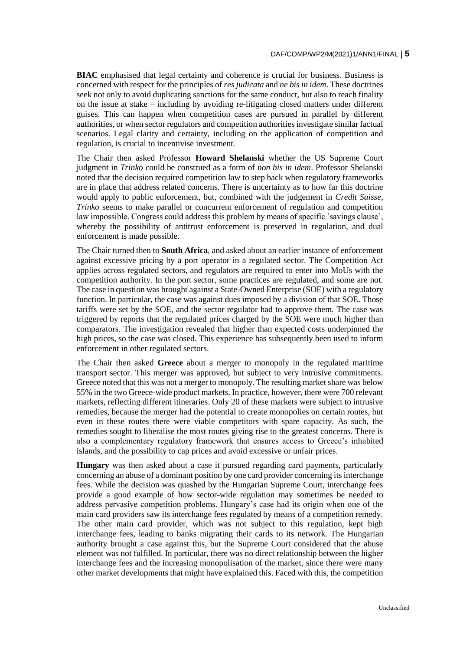**BIAC** emphasised that legal certainty and coherence is crucial for business. Business is concerned with respect for the principles of *res judicata* and *ne bis in idem*. These doctrines seek not only to avoid duplicating sanctions for the same conduct, but also to reach finality on the issue at stake – including by avoiding re-litigating closed matters under different guises. This can happen when competition cases are pursued in parallel by different authorities, or when sector regulators and competition authorities investigate similar factual scenarios. Legal clarity and certainty, including on the application of competition and regulation, is crucial to incentivise investment.

The Chair then asked Professor **Howard Shelanski** whether the US Supreme Court judgment in *Trinko* could be construed as a form of *non bis in idem*. Professor Shelanski noted that the decision required competition law to step back when regulatory frameworks are in place that address related concerns. There is uncertainty as to how far this doctrine would apply to public enforcement, but, combined with the judgement in *Credit Suisse*, *Trinko* seems to make parallel or concurrent enforcement of regulation and competition law impossible. Congress could address this problem by means of specific 'savings clause', whereby the possibility of antitrust enforcement is preserved in regulation, and dual enforcement is made possible.

The Chair turned then to **South Africa**, and asked about an earlier instance of enforcement against excessive pricing by a port operator in a regulated sector. The Competition Act applies across regulated sectors, and regulators are required to enter into MoUs with the competition authority. In the port sector, some practices are regulated, and some are not. The case in question was brought against a State-Owned Enterprise (SOE) with a regulatory function. In particular, the case was against dues imposed by a division of that SOE. Those tariffs were set by the SOE, and the sector regulator had to approve them. The case was triggered by reports that the regulated prices charged by the SOE were much higher than comparators. The investigation revealed that higher than expected costs underpinned the high prices, so the case was closed. This experience has subsequently been used to inform enforcement in other regulated sectors.

The Chair then asked **Greece** about a merger to monopoly in the regulated maritime transport sector. This merger was approved, but subject to very intrusive commitments. Greece noted that this was not a merger to monopoly. The resulting market share was below 55% in the two Greece-wide product markets. In practice, however, there were 700 relevant markets, reflecting different itineraries. Only 20 of these markets were subject to intrusive remedies, because the merger had the potential to create monopolies on certain routes, but even in these routes there were viable competitors with spare capacity. As such, the remedies sought to liberalise the most routes giving rise to the greatest concerns. There is also a complementary regulatory framework that ensures access to Greece's inhabited islands, and the possibility to cap prices and avoid excessive or unfair prices.

**Hungary** was then asked about a case it pursued regarding card payments, particularly concerning an abuse of a dominant position by one card provider concerning its interchange fees. While the decision was quashed by the Hungarian Supreme Court, interchange fees provide a good example of how sector-wide regulation may sometimes be needed to address pervasive competition problems. Hungary's case had its origin when one of the main card providers saw its interchange fees regulated by means of a competition remedy. The other main card provider, which was not subject to this regulation, kept high interchange fees, leading to banks migrating their cards to its network. The Hungarian authority brought a case against this, but the Supreme Court considered that the abuse element was not fulfilled. In particular, there was no direct relationship between the higher interchange fees and the increasing monopolisation of the market, since there were many other market developments that might have explained this. Faced with this, the competition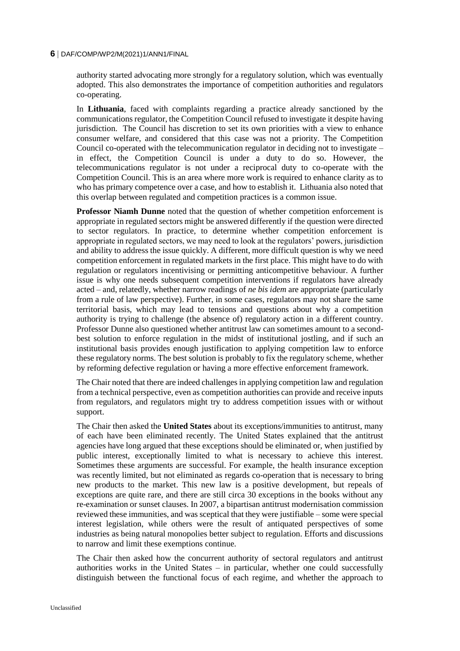authority started advocating more strongly for a regulatory solution, which was eventually adopted. This also demonstrates the importance of competition authorities and regulators co-operating.

In **Lithuania**, faced with complaints regarding a practice already sanctioned by the communications regulator, the Competition Council refused to investigate it despite having jurisdiction. The Council has discretion to set its own priorities with a view to enhance consumer welfare, and considered that this case was not a priority. The Competition Council co-operated with the telecommunication regulator in deciding not to investigate – in effect, the Competition Council is under a duty to do so. However, the telecommunications regulator is not under a reciprocal duty to co-operate with the Competition Council. This is an area where more work is required to enhance clarity as to who has primary competence over a case, and how to establish it. Lithuania also noted that this overlap between regulated and competition practices is a common issue.

**Professor Niamh Dunne** noted that the question of whether competition enforcement is appropriate in regulated sectors might be answered differently if the question were directed to sector regulators. In practice, to determine whether competition enforcement is appropriate in regulated sectors, we may need to look at the regulators' powers, jurisdiction and ability to address the issue quickly. A different, more difficult question is why we need competition enforcement in regulated markets in the first place. This might have to do with regulation or regulators incentivising or permitting anticompetitive behaviour. A further issue is why one needs subsequent competition interventions if regulators have already acted – and, relatedly, whether narrow readings of *ne bis idem* are appropriate (particularly from a rule of law perspective). Further, in some cases, regulators may not share the same territorial basis, which may lead to tensions and questions about why a competition authority is trying to challenge (the absence of) regulatory action in a different country. Professor Dunne also questioned whether antitrust law can sometimes amount to a secondbest solution to enforce regulation in the midst of institutional jostling, and if such an institutional basis provides enough justification to applying competition law to enforce these regulatory norms. The best solution is probably to fix the regulatory scheme, whether by reforming defective regulation or having a more effective enforcement framework.

The Chair noted that there are indeed challenges in applying competition law and regulation from a technical perspective, even as competition authorities can provide and receive inputs from regulators, and regulators might try to address competition issues with or without support.

The Chair then asked the **United States** about its exceptions/immunities to antitrust, many of each have been eliminated recently. The United States explained that the antitrust agencies have long argued that these exceptions should be eliminated or, when justified by public interest, exceptionally limited to what is necessary to achieve this interest. Sometimes these arguments are successful. For example, the health insurance exception was recently limited, but not eliminated as regards co-operation that is necessary to bring new products to the market. This new law is a positive development, but repeals of exceptions are quite rare, and there are still circa 30 exceptions in the books without any re-examination or sunset clauses. In 2007, a bipartisan antitrust modernisation commission reviewed these immunities, and was sceptical that they were justifiable – some were special interest legislation, while others were the result of antiquated perspectives of some industries as being natural monopolies better subject to regulation. Efforts and discussions to narrow and limit these exemptions continue.

The Chair then asked how the concurrent authority of sectoral regulators and antitrust authorities works in the United States – in particular, whether one could successfully distinguish between the functional focus of each regime, and whether the approach to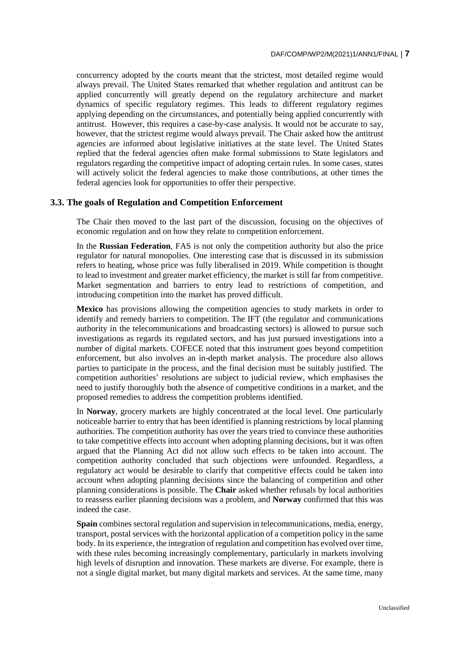concurrency adopted by the courts meant that the strictest, most detailed regime would always prevail. The United States remarked that whether regulation and antitrust can be applied concurrently will greatly depend on the regulatory architecture and market dynamics of specific regulatory regimes. This leads to different regulatory regimes applying depending on the circumstances, and potentially being applied concurrently with antitrust. However, this requires a case-by-case analysis. It would not be accurate to say, however, that the strictest regime would always prevail. The Chair asked how the antitrust agencies are informed about legislative initiatives at the state level. The United States replied that the federal agencies often make formal submissions to State legislators and regulators regarding the competitive impact of adopting certain rules. In some cases, states will actively solicit the federal agencies to make those contributions, at other times the federal agencies look for opportunities to offer their perspective.

#### **3.3. The goals of Regulation and Competition Enforcement**

The Chair then moved to the last part of the discussion, focusing on the objectives of economic regulation and on how they relate to competition enforcement.

In the **Russian Federation**, FAS is not only the competition authority but also the price regulator for natural monopolies. One interesting case that is discussed in its submission refers to heating, whose price was fully liberalised in 2019. While competition is thought to lead to investment and greater market efficiency, the market is still far from competitive. Market segmentation and barriers to entry lead to restrictions of competition, and introducing competition into the market has proved difficult.

**Mexico** has provisions allowing the competition agencies to study markets in order to identify and remedy barriers to competition. The IFT (the regulator and communications authority in the telecommunications and broadcasting sectors) is allowed to pursue such investigations as regards its regulated sectors, and has just pursued investigations into a number of digital markets. COFECE noted that this instrument goes beyond competition enforcement, but also involves an in-depth market analysis. The procedure also allows parties to participate in the process, and the final decision must be suitably justified. The competition authorities' resolutions are subject to judicial review, which emphasises the need to justify thoroughly both the absence of competitive conditions in a market, and the proposed remedies to address the competition problems identified.

In **Norway**, grocery markets are highly concentrated at the local level. One particularly noticeable barrier to entry that has been identified is planning restrictions by local planning authorities. The competition authority has over the years tried to convince these authorities to take competitive effects into account when adopting planning decisions, but it was often argued that the Planning Act did not allow such effects to be taken into account. The competition authority concluded that such objections were unfounded. Regardless, a regulatory act would be desirable to clarify that competitive effects could be taken into account when adopting planning decisions since the balancing of competition and other planning considerations is possible. The **Chair** asked whether refusals by local authorities to reassess earlier planning decisions was a problem, and **Norway** confirmed that this was indeed the case.

**Spain** combines sectoral regulation and supervision in telecommunications, media, energy, transport, postal services with the horizontal application of a competition policy in the same body. In its experience, the integration of regulation and competition has evolved over time, with these rules becoming increasingly complementary, particularly in markets involving high levels of disruption and innovation. These markets are diverse. For example, there is not a single digital market, but many digital markets and services. At the same time, many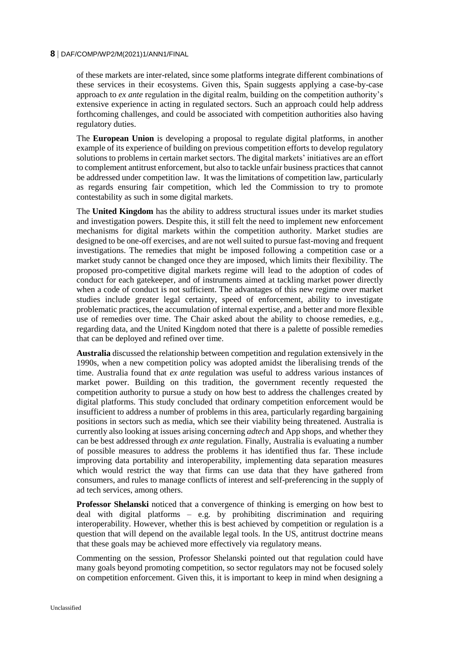of these markets are inter-related, since some platforms integrate different combinations of these services in their ecosystems. Given this, Spain suggests applying a case-by-case approach to *ex ante* regulation in the digital realm, building on the competition authority's extensive experience in acting in regulated sectors. Such an approach could help address forthcoming challenges, and could be associated with competition authorities also having regulatory duties.

The **European Union** is developing a proposal to regulate digital platforms, in another example of its experience of building on previous competition efforts to develop regulatory solutions to problems in certain market sectors. The digital markets' initiatives are an effort to complement antitrust enforcement, but also to tackle unfair business practices that cannot be addressed under competition law. It was the limitations of competition law, particularly as regards ensuring fair competition, which led the Commission to try to promote contestability as such in some digital markets.

The **United Kingdom** has the ability to address structural issues under its market studies and investigation powers. Despite this, it still felt the need to implement new enforcement mechanisms for digital markets within the competition authority. Market studies are designed to be one-off exercises, and are not well suited to pursue fast-moving and frequent investigations. The remedies that might be imposed following a competition case or a market study cannot be changed once they are imposed, which limits their flexibility. The proposed pro-competitive digital markets regime will lead to the adoption of codes of conduct for each gatekeeper, and of instruments aimed at tackling market power directly when a code of conduct is not sufficient. The advantages of this new regime over market studies include greater legal certainty, speed of enforcement, ability to investigate problematic practices, the accumulation of internal expertise, and a better and more flexible use of remedies over time. The Chair asked about the ability to choose remedies, e.g., regarding data, and the United Kingdom noted that there is a palette of possible remedies that can be deployed and refined over time.

**Australia** discussed the relationship between competition and regulation extensively in the 1990s, when a new competition policy was adopted amidst the liberalising trends of the time. Australia found that *ex ante* regulation was useful to address various instances of market power. Building on this tradition, the government recently requested the competition authority to pursue a study on how best to address the challenges created by digital platforms. This study concluded that ordinary competition enforcement would be insufficient to address a number of problems in this area, particularly regarding bargaining positions in sectors such as media, which see their viability being threatened. Australia is currently also looking at issues arising concerning *adtech* and App shops, and whether they can be best addressed through *ex ante* regulation. Finally, Australia is evaluating a number of possible measures to address the problems it has identified thus far. These include improving data portability and interoperability, implementing data separation measures which would restrict the way that firms can use data that they have gathered from consumers, and rules to manage conflicts of interest and self-preferencing in the supply of ad tech services, among others.

**Professor Shelanski** noticed that a convergence of thinking is emerging on how best to deal with digital platforms – e.g. by prohibiting discrimination and requiring interoperability. However, whether this is best achieved by competition or regulation is a question that will depend on the available legal tools. In the US, antitrust doctrine means that these goals may be achieved more effectively via regulatory means.

Commenting on the session, Professor Shelanski pointed out that regulation could have many goals beyond promoting competition, so sector regulators may not be focused solely on competition enforcement. Given this, it is important to keep in mind when designing a